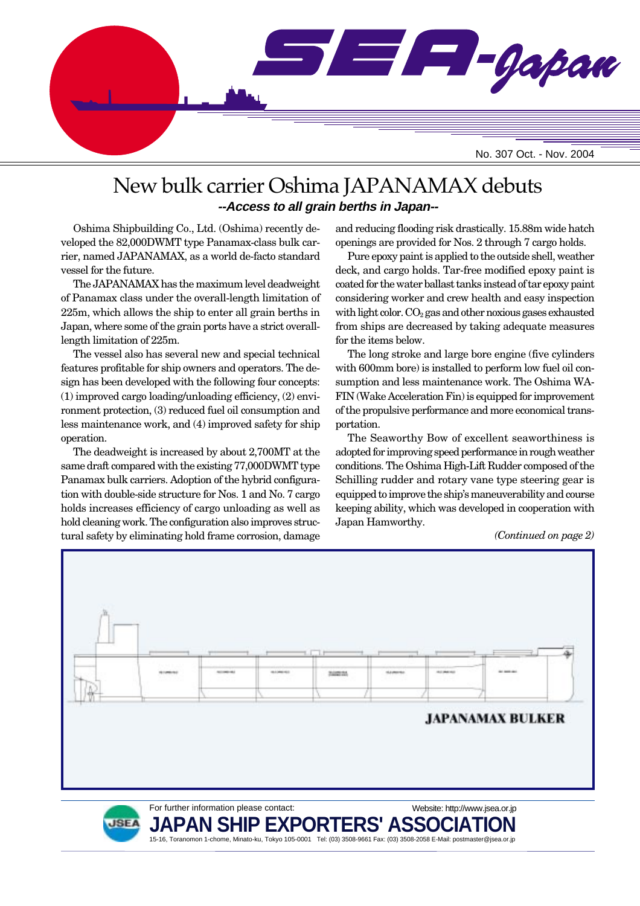

# New bulk carrier Oshima JAPANAMAX debuts **--Access to all grain berths in Japan--**

Oshima Shipbuilding Co., Ltd. (Oshima) recently developed the 82,000DWMT type Panamax-class bulk carrier, named JAPANAMAX, as a world de-facto standard vessel for the future.

The JAPANAMAX has the maximum level deadweight of Panamax class under the overall-length limitation of 225m, which allows the ship to enter all grain berths in Japan, where some of the grain ports have a strict overalllength limitation of 225m.

The vessel also has several new and special technical features profitable for ship owners and operators. The design has been developed with the following four concepts: (1) improved cargo loading/unloading efficiency, (2) environment protection, (3) reduced fuel oil consumption and less maintenance work, and (4) improved safety for ship operation.

The deadweight is increased by about 2,700MT at the same draft compared with the existing 77,000DWMT type Panamax bulk carriers. Adoption of the hybrid configuration with double-side structure for Nos. 1 and No. 7 cargo holds increases efficiency of cargo unloading as well as hold cleaning work. The configuration also improves structural safety by eliminating hold frame corrosion, damage and reducing flooding risk drastically. 15.88m wide hatch openings are provided for Nos. 2 through 7 cargo holds.

Pure epoxy paint is applied to the outside shell, weather deck, and cargo holds. Tar-free modified epoxy paint is coated for the water ballast tanks instead of tar epoxy paint considering worker and crew health and easy inspection with light color.  $CO<sub>2</sub>$  gas and other noxious gases exhausted from ships are decreased by taking adequate measures for the items below.

The long stroke and large bore engine (five cylinders with 600mm bore) is installed to perform low fuel oil consumption and less maintenance work. The Oshima WA-FIN (Wake Acceleration Fin) is equipped for improvement of the propulsive performance and more economical transportation.

The Seaworthy Bow of excellent seaworthiness is adopted for improving speed performance in rough weather conditions. The Oshima High-Lift Rudder composed of the Schilling rudder and rotary vane type steering gear is equipped to improve the ship's maneuverability and course keeping ability, which was developed in cooperation with Japan Hamworthy.

Website: http://www.jsea.or.jp

#### *(Continued on page 2)*



For further information please contact:



**JAPAN SHIP EXPORTERS' ASSO** 15-16, Toranomon 1-chome, Minato-ku, Tokyo 105-0001 Tel: (03) 3508-9661 Fax: (03) 3508-2058 E-Mail: postmaster@jsea.or.jp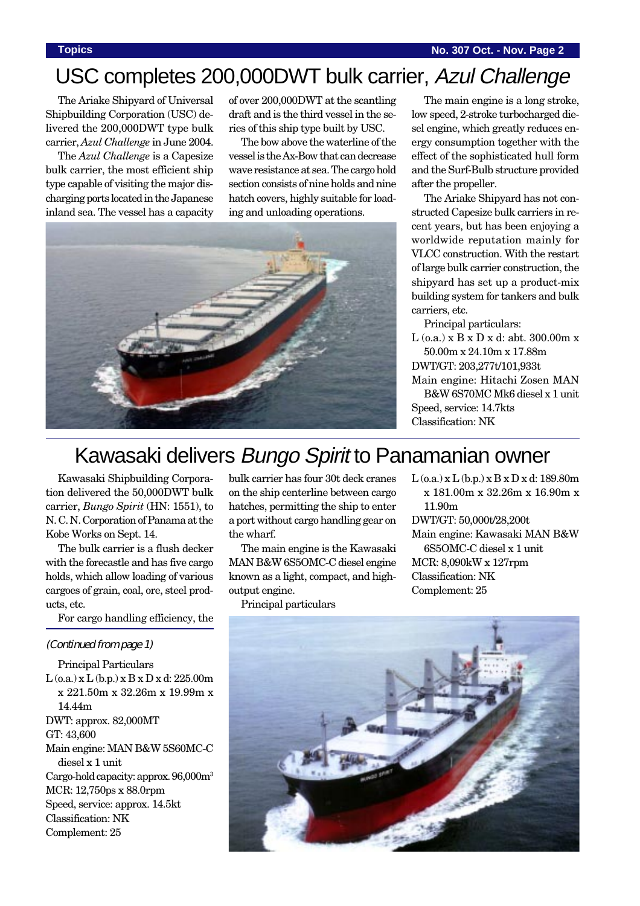# USC completes 200,000DWT bulk carrier, Azul Challenge

The Ariake Shipyard of Universal Shipbuilding Corporation (USC) delivered the 200,000DWT type bulk carrier, *Azul Challenge* in June 2004.

The *Azul Challenge* is a Capesize bulk carrier, the most efficient ship type capable of visiting the major discharging ports located in the Japanese inland sea. The vessel has a capacity

of over 200,000DWT at the scantling draft and is the third vessel in the series of this ship type built by USC.

The bow above the waterline of the vessel is the Ax-Bow that can decrease wave resistance at sea. The cargo hold section consists of nine holds and nine hatch covers, highly suitable for loading and unloading operations.



The main engine is a long stroke, low speed, 2-stroke turbocharged diesel engine, which greatly reduces energy consumption together with the effect of the sophisticated hull form and the Surf-Bulb structure provided after the propeller.

The Ariake Shipyard has not constructed Capesize bulk carriers in recent years, but has been enjoying a worldwide reputation mainly for VLCC construction. With the restart of large bulk carrier construction, the shipyard has set up a product-mix building system for tankers and bulk carriers, etc.

Principal particulars:

 $L$  (o.a.)  $x B x D x d$ : abt. 300.00m  $x$ 50.00m x 24.10m x 17.88m DWT/GT: 203,277t/101,933t Main engine: Hitachi Zosen MAN B&W 6S70MC Mk6 diesel x 1 unit Speed, service: 14.7kts Classification: NK

# Kawasaki delivers Bungo Spirit to Panamanian owner

Kawasaki Shipbuilding Corporation delivered the 50,000DWT bulk carrier, *Bungo Spirit* (HN: 1551), to N. C. N. Corporation of Panama at the Kobe Works on Sept. 14.

The bulk carrier is a flush decker with the forecastle and has five cargo holds, which allow loading of various cargoes of grain, coal, ore, steel products, etc.

For cargo handling efficiency, the

#### (Continued from page 1)

Principal Particulars  $L$  (o.a.) x  $L$  (b.p.) x  $B$  x  $D$  x d: 225.00m x 221.50m x 32.26m x 19.99m x 14.44m DWT: approx. 82,000MT GT: 43,600 Main engine: MAN B&W 5S60MC-C diesel x 1 unit Cargo-hold capacity: approx. 96,000m3 MCR: 12,750ps x 88.0rpm Speed, service: approx. 14.5kt Classification: NK Complement: 25

bulk carrier has four 30t deck cranes on the ship centerline between cargo hatches, permitting the ship to enter a port without cargo handling gear on the wharf.

The main engine is the Kawasaki MAN B&W 6S5OMC-C diesel engine known as a light, compact, and highoutput engine.

Principal particulars

L (o.a.) x L (b.p.) x B x D x d: 189.80m x 181.00m x 32.26m x 16.90m x 11.90m DWT/GT: 50,000t/28,200t Main engine: Kawasaki MAN B&W 6S5OMC-C diesel x 1 unit MCR: 8,090kW x 127rpm

Classification: NK Complement: 25

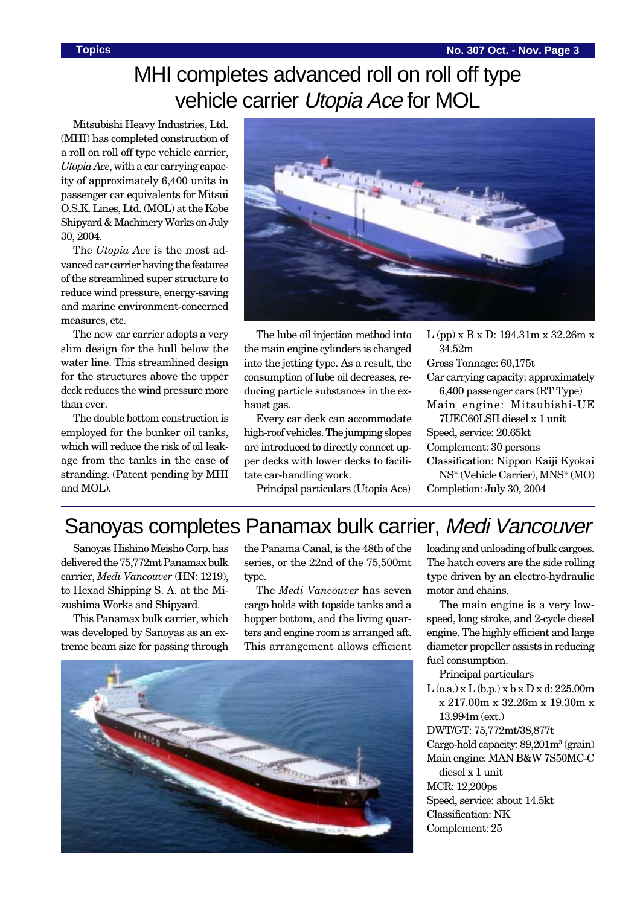# MHI completes advanced roll on roll off type vehicle carrier Utopia Ace for MOL

Mitsubishi Heavy Industries, Ltd. (MHI) has completed construction of a roll on roll off type vehicle carrier, *Utopia Ace*, with a car carrying capacity of approximately 6,400 units in passenger car equivalents for Mitsui O.S.K. Lines, Ltd. (MOL) at the Kobe Shipyard & Machinery Works on July 30, 2004.

The *Utopia Ace* is the most advanced car carrier having the features of the streamlined super structure to reduce wind pressure, energy-saving and marine environment-concerned measures, etc.

The new car carrier adopts a very slim design for the hull below the water line. This streamlined design for the structures above the upper deck reduces the wind pressure more than ever.

The double bottom construction is employed for the bunker oil tanks, which will reduce the risk of oil leakage from the tanks in the case of stranding. (Patent pending by MHI and MOL).



The lube oil injection method into the main engine cylinders is changed into the jetting type. As a result, the consumption of lube oil decreases, reducing particle substances in the exhaust gas.

Every car deck can accommodate high-roof vehicles. The jumping slopes are introduced to directly connect upper decks with lower decks to facilitate car-handling work.

Principal particulars (Utopia Ace)

L (pp) x B x D: 194.31m x 32.26m x 34.52m Gross Tonnage: 60,175t Car carrying capacity: approximately 6,400 passenger cars (RT Type)

Main engine: Mitsubishi-UE 7UEC60LSII diesel x 1 unit

Speed, service: 20.65kt

Complement: 30 persons

Classification: Nippon Kaiji Kyokai NS\* (Vehicle Carrier), MNS\* (MO)

Completion: July 30, 2004

# Sanoyas completes Panamax bulk carrier, Medi Vancouver

Sanoyas Hishino Meisho Corp. has delivered the 75,772mt Panamax bulk carrier, *Medi Vancouver* (HN: 1219), to Hexad Shipping S. A. at the Mizushima Works and Shipyard.

This Panamax bulk carrier, which was developed by Sanoyas as an extreme beam size for passing through

the Panama Canal, is the 48th of the series, or the 22nd of the 75,500mt type.

The *Medi Vancouver* has seven cargo holds with topside tanks and a hopper bottom, and the living quarters and engine room is arranged aft. This arrangement allows efficient



loading and unloading of bulk cargoes. The hatch covers are the side rolling type driven by an electro-hydraulic motor and chains.

The main engine is a very lowspeed, long stroke, and 2-cycle diesel engine. The highly efficient and large diameter propeller assists in reducing fuel consumption.

Principal particulars

 $L$  (o.a.) x  $L$  (b.p.) x b x  $D$  x d: 225.00m x 217.00m x 32.26m x 19.30m x 13.994m (ext.)

DWT/GT: 75,772mt/38,877t Cargo-hold capacity: 89,201m<sup>3</sup> (grain) Main engine: MAN B&W 7S50MC-C diesel x 1 unit MCR: 12,200ps Speed, service: about 14.5kt

Classification: NK

Complement: 25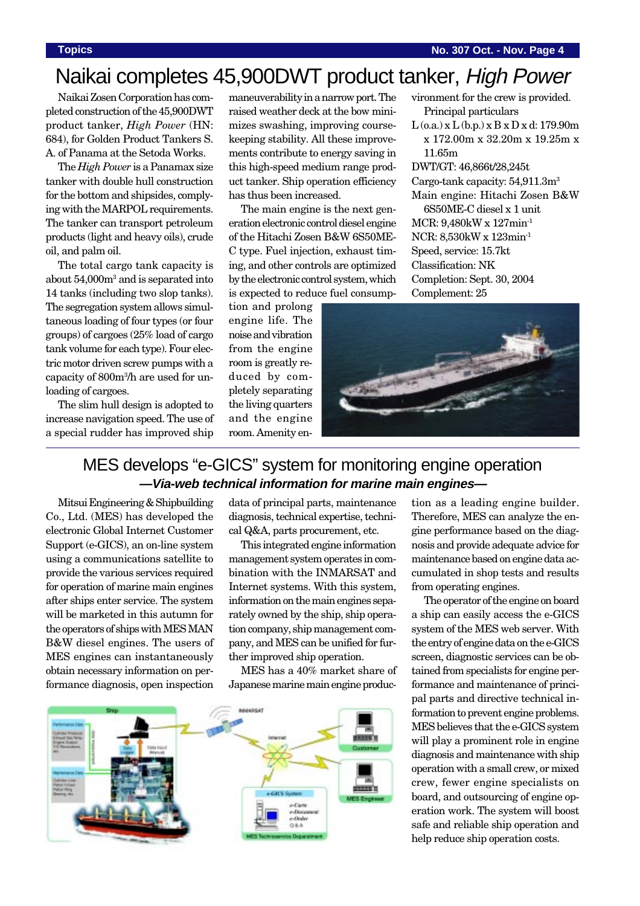#### **Topics No. 307 Oct. - Nov. Page 4**

# Naikai completes 45,900DWT product tanker, High Power

Naikai Zosen Corporation has completed construction of the 45,900DWT product tanker, *High Power* (HN: 684), for Golden Product Tankers S. A. of Panama at the Setoda Works.

The *High Power* is a Panamax size tanker with double hull construction for the bottom and shipsides, complying with the MARPOL requirements. The tanker can transport petroleum products (light and heavy oils), crude oil, and palm oil.

The total cargo tank capacity is about 54,000m<sup>3</sup> and is separated into 14 tanks (including two slop tanks). The segregation system allows simultaneous loading of four types (or four groups) of cargoes (25% load of cargo tank volume for each type). Four electric motor driven screw pumps with a capacity of 800m3 /h are used for unloading of cargoes.

The slim hull design is adopted to increase navigation speed. The use of a special rudder has improved ship

maneuverability in a narrow port. The raised weather deck at the bow minimizes swashing, improving coursekeeping stability. All these improvements contribute to energy saving in this high-speed medium range product tanker. Ship operation efficiency has thus been increased.

The main engine is the next generation electronic control diesel engine of the Hitachi Zosen B&W 6S50ME-C type. Fuel injection, exhaust timing, and other controls are optimized by the electronic control system, which is expected to reduce fuel consump-

tion and prolong engine life. The noise and vibration from the engine room is greatly reduced by completely separating the living quarters and the engine room. Amenity environment for the crew is provided. Principal particulars

 $L$  (o.a.) x  $L$  (b.p.) x  $B$  x  $D$  x d: 179.90m x 172.00m x 32.20m x 19.25m x 11.65m

DWT/GT: 46,866t/28,245t Cargo-tank capacity: 54,911.3m<sup>3</sup> Main engine: Hitachi Zosen B&W

6S50ME-C diesel x 1 unit MCR: 9,480kW x 127min-1 NCR: 8,530kW x 123min-1 Speed, service: 15.7kt Classification: NK Completion: Sept. 30, 2004 Complement: 25



## MES develops "e-GICS" system for monitoring engine operation **—Via-web technical information for marine main engines—**

Mitsui Engineering & Shipbuilding Co., Ltd. (MES) has developed the electronic Global Internet Customer Support (e-GICS), an on-line system using a communications satellite to provide the various services required for operation of marine main engines after ships enter service. The system will be marketed in this autumn for the operators of ships with MES MAN B&W diesel engines. The users of MES engines can instantaneously obtain necessary information on performance diagnosis, open inspection

data of principal parts, maintenance diagnosis, technical expertise, technical Q&A, parts procurement, etc.

This integrated engine information management system operates in combination with the INMARSAT and Internet systems. With this system, information on the main engines separately owned by the ship, ship operation company, ship management company, and MES can be unified for further improved ship operation.

MES has a 40% market share of Japanese marine main engine produc-



tion as a leading engine builder. Therefore, MES can analyze the engine performance based on the diagnosis and provide adequate advice for maintenance based on engine data accumulated in shop tests and results from operating engines.

The operator of the engine on board a ship can easily access the e-GICS system of the MES web server. With the entry of engine data on the e-GICS screen, diagnostic services can be obtained from specialists for engine performance and maintenance of principal parts and directive technical information to prevent engine problems. MES believes that the e-GICS system will play a prominent role in engine diagnosis and maintenance with ship operation with a small crew, or mixed crew, fewer engine specialists on board, and outsourcing of engine operation work. The system will boost safe and reliable ship operation and help reduce ship operation costs.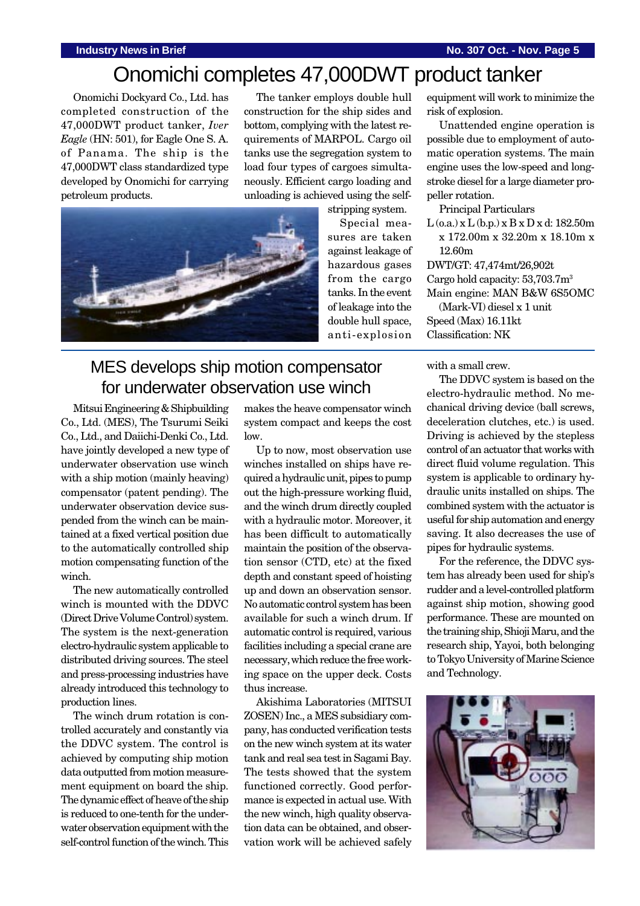# Onomichi completes 47,000DWT product tanker

Onomichi Dockyard Co., Ltd. has completed construction of the 47,000DWT product tanker, *Iver Eagle* (HN: 501), for Eagle One S. A. of Panama. The ship is the 47,000DWT class standardized type developed by Onomichi for carrying petroleum products.

The tanker employs double hull construction for the ship sides and bottom, complying with the latest requirements of MARPOL. Cargo oil tanks use the segregation system to load four types of cargoes simultaneously. Efficient cargo loading and unloading is achieved using the self-



stripping system.

Special measures are taken against leakage of hazardous gases from the cargo tanks. In the event of leakage into the double hull space, anti-explosion

equipment will work to minimize the risk of explosion.

Unattended engine operation is possible due to employment of automatic operation systems. The main engine uses the low-speed and longstroke diesel for a large diameter propeller rotation.

Principal Particulars

 $L$  (o.a.) x  $L$  (b.p.) x  $B$  x  $D$  x d: 182.50m x 172.00m x 32.20m x 18.10m x 12.60m

DWT/GT: 47,474mt/26,902t Cargo hold capacity: 53,703.7m3 Main engine: MAN B&W 6S5OMC

(Mark-VI) diesel x 1 unit Speed (Max) 16.11kt Classification: NK

# MES develops ship motion compensator for underwater observation use winch

Mitsui Engineering & Shipbuilding Co., Ltd. (MES), The Tsurumi Seiki Co., Ltd., and Daiichi-Denki Co., Ltd. have jointly developed a new type of underwater observation use winch with a ship motion (mainly heaving) compensator (patent pending). The underwater observation device suspended from the winch can be maintained at a fixed vertical position due to the automatically controlled ship motion compensating function of the winch.

The new automatically controlled winch is mounted with the DDVC (Direct Drive Volume Control) system. The system is the next-generation electro-hydraulic system applicable to distributed driving sources. The steel and press-processing industries have already introduced this technology to production lines.

The winch drum rotation is controlled accurately and constantly via the DDVC system. The control is achieved by computing ship motion data outputted from motion measurement equipment on board the ship. The dynamic effect of heave of the ship is reduced to one-tenth for the underwater observation equipment with the self-control function of the winch. This makes the heave compensator winch system compact and keeps the cost  $\log$ 

Up to now, most observation use winches installed on ships have required a hydraulic unit, pipes to pump out the high-pressure working fluid, and the winch drum directly coupled with a hydraulic motor. Moreover, it has been difficult to automatically maintain the position of the observation sensor (CTD, etc) at the fixed depth and constant speed of hoisting up and down an observation sensor. No automatic control system has been available for such a winch drum. If automatic control is required, various facilities including a special crane are necessary, which reduce the free working space on the upper deck. Costs thus increase.

Akishima Laboratories (MITSUI ZOSEN) Inc., a MES subsidiary company, has conducted verification tests on the new winch system at its water tank and real sea test in Sagami Bay. The tests showed that the system functioned correctly. Good performance is expected in actual use. With the new winch, high quality observation data can be obtained, and observation work will be achieved safely

with a small crew.

The DDVC system is based on the electro-hydraulic method. No mechanical driving device (ball screws, deceleration clutches, etc.) is used. Driving is achieved by the stepless control of an actuator that works with direct fluid volume regulation. This system is applicable to ordinary hydraulic units installed on ships. The combined system with the actuator is useful for ship automation and energy saving. It also decreases the use of pipes for hydraulic systems.

For the reference, the DDVC system has already been used for ship's rudder and a level-controlled platform against ship motion, showing good performance. These are mounted on the training ship, Shioji Maru, and the research ship, Yayoi, both belonging to Tokyo University of Marine Science and Technology.